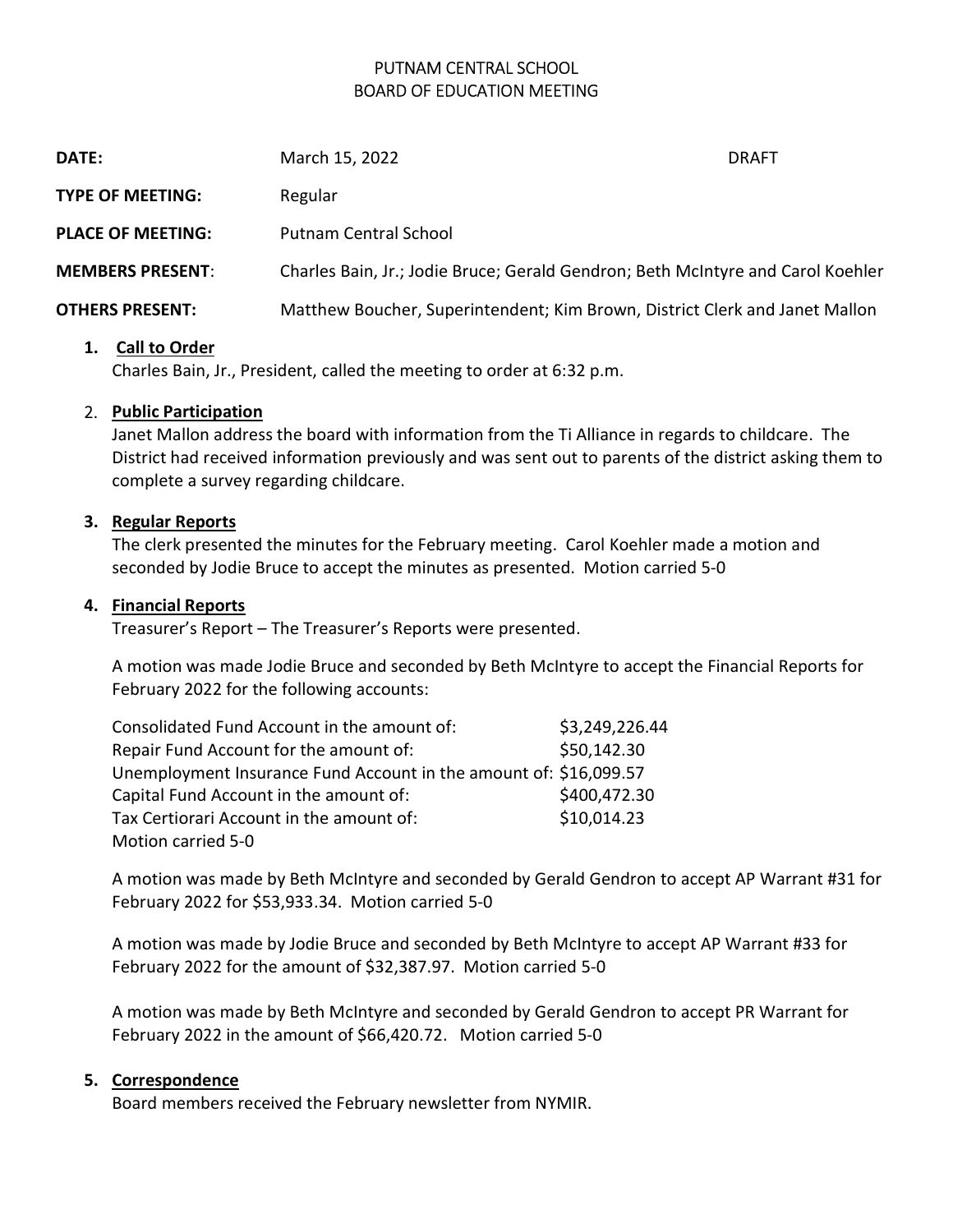# PUTNAM CENTRAL SCHOOL BOARD OF EDUCATION MEETING

| <b>DATE:</b>             | March 15, 2022                                                                  | <b>DRAFT</b> |
|--------------------------|---------------------------------------------------------------------------------|--------------|
| <b>TYPE OF MEETING:</b>  | Regular                                                                         |              |
| <b>PLACE OF MEETING:</b> | <b>Putnam Central School</b>                                                    |              |
| <b>MEMBERS PRESENT:</b>  | Charles Bain, Jr.; Jodie Bruce; Gerald Gendron; Beth McIntyre and Carol Koehler |              |
| <b>OTHERS PRESENT:</b>   | Matthew Boucher, Superintendent; Kim Brown, District Clerk and Janet Mallon     |              |

#### 1. Call to Order

Charles Bain, Jr., President, called the meeting to order at 6:32 p.m.

#### 2. Public Participation

Janet Mallon address the board with information from the Ti Alliance in regards to childcare. The District had received information previously and was sent out to parents of the district asking them to complete a survey regarding childcare.

#### 3. Regular Reports

The clerk presented the minutes for the February meeting. Carol Koehler made a motion and seconded by Jodie Bruce to accept the minutes as presented. Motion carried 5-0

#### 4. Financial Reports

Treasurer's Report – The Treasurer's Reports were presented.

A motion was made Jodie Bruce and seconded by Beth McIntyre to accept the Financial Reports for February 2022 for the following accounts:

| Consolidated Fund Account in the amount of:                       | \$3,249,226.44 |
|-------------------------------------------------------------------|----------------|
| Repair Fund Account for the amount of:                            | \$50,142.30    |
| Unemployment Insurance Fund Account in the amount of: \$16,099.57 |                |
| Capital Fund Account in the amount of:                            | \$400,472.30   |
| Tax Certiorari Account in the amount of:                          | \$10,014.23    |
| Motion carried 5-0                                                |                |

A motion was made by Beth McIntyre and seconded by Gerald Gendron to accept AP Warrant #31 for February 2022 for \$53,933.34. Motion carried 5-0

A motion was made by Jodie Bruce and seconded by Beth McIntyre to accept AP Warrant #33 for February 2022 for the amount of \$32,387.97. Motion carried 5-0

A motion was made by Beth McIntyre and seconded by Gerald Gendron to accept PR Warrant for February 2022 in the amount of \$66,420.72. Motion carried 5-0

#### 5. Correspondence

Board members received the February newsletter from NYMIR.